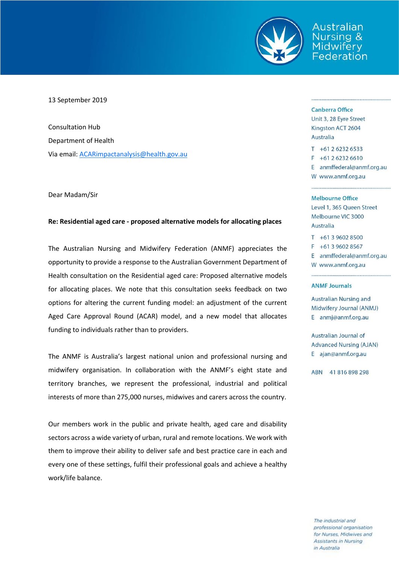

Australian sina & Federation

## 13 September 2019

Consultation Hub Department of Health Via email[: ACARimpactanalysis@health.gov.au](mailto:ACARimpactanalysis@health.gov.au)

Dear Madam/Sir

## **Re: Residential aged care - proposed alternative models for allocating places**

The Australian Nursing and Midwifery Federation (ANMF) appreciates the opportunity to provide a response to the Australian Government Department of Health consultation on the Residential aged care: Proposed alternative models for allocating places. We note that this consultation seeks feedback on two options for altering the current funding model: an adjustment of the current Aged Care Approval Round (ACAR) model, and a new model that allocates funding to individuals rather than to providers.

The ANMF is Australia's largest national union and professional nursing and midwifery organisation. In collaboration with the ANMF's eight state and territory branches, we represent the professional, industrial and political interests of more than 275,000 nurses, midwives and carers across the country.

Our members work in the public and private health, aged care and disability sectors across a wide variety of urban, rural and remote locations. We work with them to improve their ability to deliver safe and best practice care in each and every one of these settings, fulfil their professional goals and achieve a healthy work/life balance.

#### **Canberra Office**

Unit 3, 28 Eyre Street Kingston ACT 2604 Australia

 $T + 61262326533$  $F + 61262326610$ E anmffederal@anmf.org.au W www.anmf.org.au

#### Melbourne Office

Level 1, 365 Queen Street Melbourne VIC 3000 **Australia** 

 $T + 61396028500$  $F + 61396028567$ E anmffederal@anmf.org.au W www.anmf.org.au

### **ANMF Journals**

**Australian Nursing and** Midwifery Journal (ANMJ) E anmj@anmf.org.au

Australian Journal of **Advanced Nursing (AJAN)** E ajan@anmf.org.au

ABN 41816898298

The industrial and professional organisation for Nurses, Midwives and Assistants in Nursing in Australia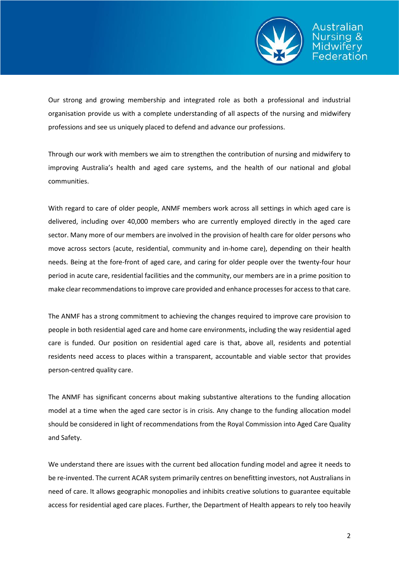

Our strong and growing membership and integrated role as both a professional and industrial organisation provide us with a complete understanding of all aspects of the nursing and midwifery professions and see us uniquely placed to defend and advance our professions.

Through our work with members we aim to strengthen the contribution of nursing and midwifery to improving Australia's health and aged care systems, and the health of our national and global communities.

With regard to care of older people, ANMF members work across all settings in which aged care is delivered, including over 40,000 members who are currently employed directly in the aged care sector. Many more of our members are involved in the provision of health care for older persons who move across sectors (acute, residential, community and in-home care), depending on their health needs. Being at the fore-front of aged care, and caring for older people over the twenty-four hour period in acute care, residential facilities and the community, our members are in a prime position to make clear recommendations to improve care provided and enhance processes for access to that care.

The ANMF has a strong commitment to achieving the changes required to improve care provision to people in both residential aged care and home care environments, including the way residential aged care is funded. Our position on residential aged care is that, above all, residents and potential residents need access to places within a transparent, accountable and viable sector that provides person-centred quality care.

The ANMF has significant concerns about making substantive alterations to the funding allocation model at a time when the aged care sector is in crisis. Any change to the funding allocation model should be considered in light of recommendations from the Royal Commission into Aged Care Quality and Safety.

We understand there are issues with the current bed allocation funding model and agree it needs to be re-invented. The current ACAR system primarily centres on benefitting investors, not Australians in need of care. It allows geographic monopolies and inhibits creative solutions to guarantee equitable access for residential aged care places. Further, the Department of Health appears to rely too heavily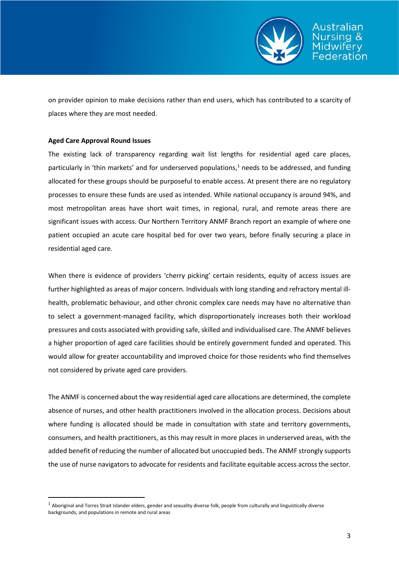

on provider opinion to make decisions rather than end users, which has contributed to a scarcity of places where they are most needed.

## **Aged Care Approval Round Issues**

**.** 

The existing lack of transparency regarding wait list lengths for residential aged care places, particularly in 'thin markets' and for underserved populations, <sup>1</sup> needs to be addressed, and funding allocated for these groups should be purposeful to enable access. At present there are no regulatory processes to ensure these funds are used as intended. While national occupancy is around 94%, and most metropolitan areas have short wait times, in regional, rural, and remote areas there are significant issues with access. Our Northern Territory ANMF Branch report an example of where one patient occupied an acute care hospital bed for over two years, before finally securing a place in residential aged care.

When there is evidence of providers 'cherry picking' certain residents, equity of access issues are further highlighted as areas of major concern. Individuals with long standing and refractory mental illhealth, problematic behaviour, and other chronic complex care needs may have no alternative than to select a government-managed facility, which disproportionately increases both their workload pressures and costs associated with providing safe, skilled and individualised care. The ANMF believes a higher proportion of aged care facilities should be entirely government funded and operated. This would allow for greater accountability and improved choice for those residents who find themselves not considered by private aged care providers.

The ANMF is concerned about the way residential aged care allocations are determined, the complete absence of nurses, and other health practitioners involved in the allocation process. Decisions about where funding is allocated should be made in consultation with state and territory governments, consumers, and health practitioners, as this may result in more places in underserved areas, with the added benefit of reducing the number of allocated but unoccupied beds. The ANMF strongly supports the use of nurse navigators to advocate for residents and facilitate equitable access across the sector.

 $1$  Aboriginal and Torres Strait Islander elders, gender and sexuality diverse folk, people from culturally and linguistically diverse backgrounds, and populations in remote and rural areas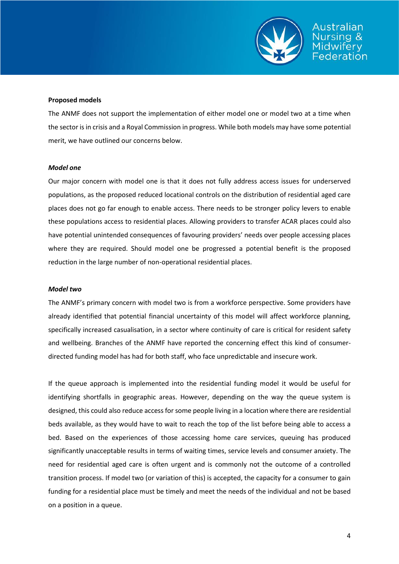

## **Proposed models**

The ANMF does not support the implementation of either model one or model two at a time when the sector is in crisis and a Royal Commission in progress. While both models may have some potential merit, we have outlined our concerns below.

## *Model one*

Our major concern with model one is that it does not fully address access issues for underserved populations, as the proposed reduced locational controls on the distribution of residential aged care places does not go far enough to enable access. There needs to be stronger policy levers to enable these populations access to residential places. Allowing providers to transfer ACAR places could also have potential unintended consequences of favouring providers' needs over people accessing places where they are required. Should model one be progressed a potential benefit is the proposed reduction in the large number of non-operational residential places.

## *Model two*

The ANMF's primary concern with model two is from a workforce perspective. Some providers have already identified that potential financial uncertainty of this model will affect workforce planning, specifically increased casualisation, in a sector where continuity of care is critical for resident safety and wellbeing. Branches of the ANMF have reported the concerning effect this kind of consumerdirected funding model has had for both staff, who face unpredictable and insecure work.

If the queue approach is implemented into the residential funding model it would be useful for identifying shortfalls in geographic areas. However, depending on the way the queue system is designed, this could also reduce access for some people living in a location where there are residential beds available, as they would have to wait to reach the top of the list before being able to access a bed. Based on the experiences of those accessing home care services, queuing has produced significantly unacceptable results in terms of waiting times, service levels and consumer anxiety. The need for residential aged care is often urgent and is commonly not the outcome of a controlled transition process. If model two (or variation of this) is accepted, the capacity for a consumer to gain funding for a residential place must be timely and meet the needs of the individual and not be based on a position in a queue.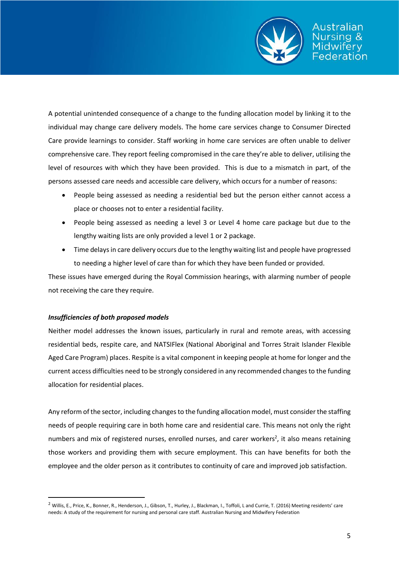

A potential unintended consequence of a change to the funding allocation model by linking it to the individual may change care delivery models. The home care services change to Consumer Directed Care provide learnings to consider. Staff working in home care services are often unable to deliver comprehensive care. They report feeling compromised in the care they're able to deliver, utilising the level of resources with which they have been provided. This is due to a mismatch in part, of the persons assessed care needs and accessible care delivery, which occurs for a number of reasons:

- People being assessed as needing a residential bed but the person either cannot access a place or chooses not to enter a residential facility.
- People being assessed as needing a level 3 or Level 4 home care package but due to the lengthy waiting lists are only provided a level 1 or 2 package.
- Time delays in care delivery occurs due to the lengthy waiting list and people have progressed to needing a higher level of care than for which they have been funded or provided.

These issues have emerged during the Royal Commission hearings, with alarming number of people not receiving the care they require.

# *Insufficiencies of both proposed models*

**.** 

Neither model addresses the known issues, particularly in rural and remote areas, with accessing residential beds, respite care, and NATSIFlex (National Aboriginal and Torres Strait Islander Flexible Aged Care Program) places. Respite is a vital component in keeping people at home for longer and the current access difficulties need to be strongly considered in any recommended changes to the funding allocation for residential places.

Any reform of the sector, including changes to the funding allocation model, must consider the staffing needs of people requiring care in both home care and residential care. This means not only the right numbers and mix of registered nurses, enrolled nurses, and carer workers<sup>2</sup>, it also means retaining those workers and providing them with secure employment. This can have benefits for both the employee and the older person as it contributes to continuity of care and improved job satisfaction.

<sup>&</sup>lt;sup>2</sup> Willis, E., Price, K., Bonner, R., Henderson, J., Gibson, T., Hurley, J., Blackman, I., Toffoli, L and Currie, T. (2016) Meeting residents' care needs: A study of the requirement for nursing and personal care staff. Australian Nursing and Midwifery Federation